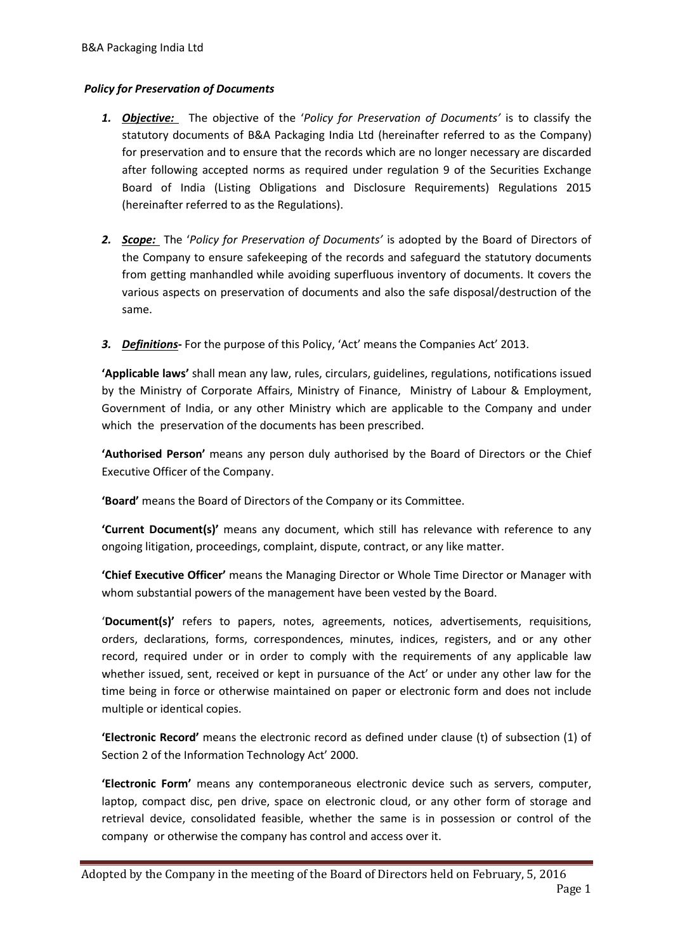# *Policy for Preservation of Documents*

- *1. Objective:* The objective of the '*Policy for Preservation of Documents'* is to classify the statutory documents of B&A Packaging India Ltd (hereinafter referred to as the Company) for preservation and to ensure that the records which are no longer necessary are discarded after following accepted norms as required under regulation 9 of the Securities Exchange Board of India (Listing Obligations and Disclosure Requirements) Regulations 2015 (hereinafter referred to as the Regulations).
- *2. Scope:* The '*Policy for Preservation of Documents'* is adopted by the Board of Directors of the Company to ensure safekeeping of the records and safeguard the statutory documents from getting manhandled while avoiding superfluous inventory of documents. It covers the various aspects on preservation of documents and also the safe disposal/destruction of the same.
- *3. Definitions***-** For the purpose of this Policy, 'Act' means the Companies Act' 2013.

**'Applicable laws'** shall mean any law, rules, circulars, guidelines, regulations, notifications issued by the Ministry of Corporate Affairs, Ministry of Finance, Ministry of Labour & Employment, Government of India, or any other Ministry which are applicable to the Company and under which the preservation of the documents has been prescribed.

**'Authorised Person'** means any person duly authorised by the Board of Directors or the Chief Executive Officer of the Company.

**'Board'** means the Board of Directors of the Company or its Committee.

**'Current Document(s)'** means any document, which still has relevance with reference to any ongoing litigation, proceedings, complaint, dispute, contract, or any like matter.

**'Chief Executive Officer'** means the Managing Director or Whole Time Director or Manager with whom substantial powers of the management have been vested by the Board.

'**Document(s)'** refers to papers, notes, agreements, notices, advertisements, requisitions, orders, declarations, forms, correspondences, minutes, indices, registers, and or any other record, required under or in order to comply with the requirements of any applicable law whether issued, sent, received or kept in pursuance of the Act' or under any other law for the time being in force or otherwise maintained on paper or electronic form and does not include multiple or identical copies.

**'Electronic Record'** means the electronic record as defined under clause (t) of subsection (1) of Section 2 of the Information Technology Act' 2000.

**'Electronic Form'** means any contemporaneous electronic device such as servers, computer, laptop, compact disc, pen drive, space on electronic cloud, or any other form of storage and retrieval device, consolidated feasible, whether the same is in possession or control of the company or otherwise the company has control and access over it.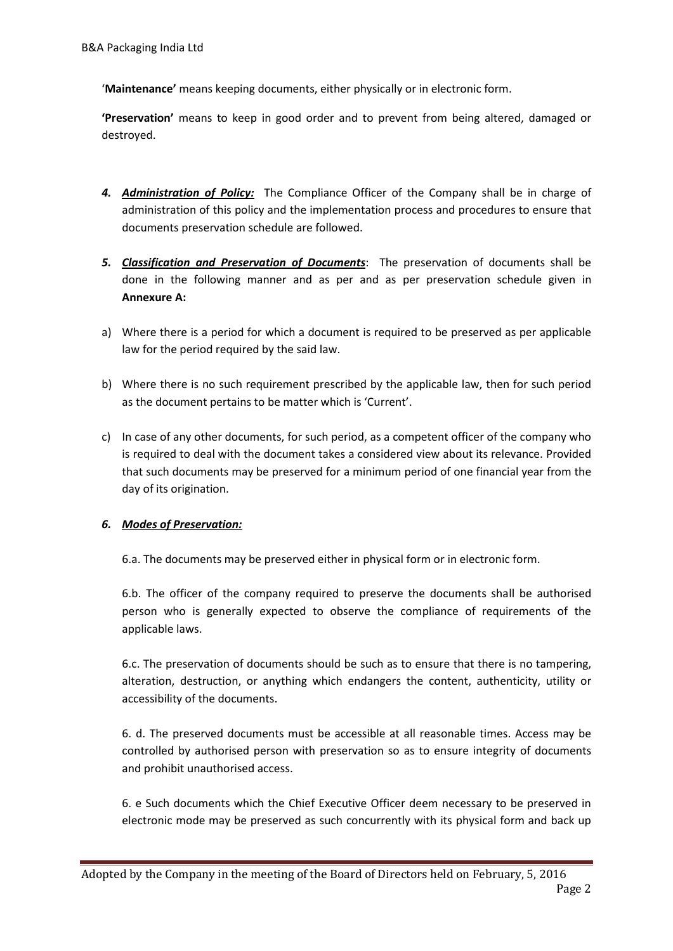'**Maintenance'** means keeping documents, either physically or in electronic form.

**'Preservation'** means to keep in good order and to prevent from being altered, damaged or destroyed.

- *4. Administration of Policy:* The Compliance Officer of the Company shall be in charge of administration of this policy and the implementation process and procedures to ensure that documents preservation schedule are followed.
- *5. Classification and Preservation of Documents*: The preservation of documents shall be done in the following manner and as per and as per preservation schedule given in **Annexure A:**
- a) Where there is a period for which a document is required to be preserved as per applicable law for the period required by the said law.
- b) Where there is no such requirement prescribed by the applicable law, then for such period as the document pertains to be matter which is 'Current'.
- c) In case of any other documents, for such period, as a competent officer of the company who is required to deal with the document takes a considered view about its relevance. Provided that such documents may be preserved for a minimum period of one financial year from the day of its origination.

# *6. Modes of Preservation:*

6.a. The documents may be preserved either in physical form or in electronic form.

6.b. The officer of the company required to preserve the documents shall be authorised person who is generally expected to observe the compliance of requirements of the applicable laws.

6.c. The preservation of documents should be such as to ensure that there is no tampering, alteration, destruction, or anything which endangers the content, authenticity, utility or accessibility of the documents.

6. d. The preserved documents must be accessible at all reasonable times. Access may be controlled by authorised person with preservation so as to ensure integrity of documents and prohibit unauthorised access.

6. e Such documents which the Chief Executive Officer deem necessary to be preserved in electronic mode may be preserved as such concurrently with its physical form and back up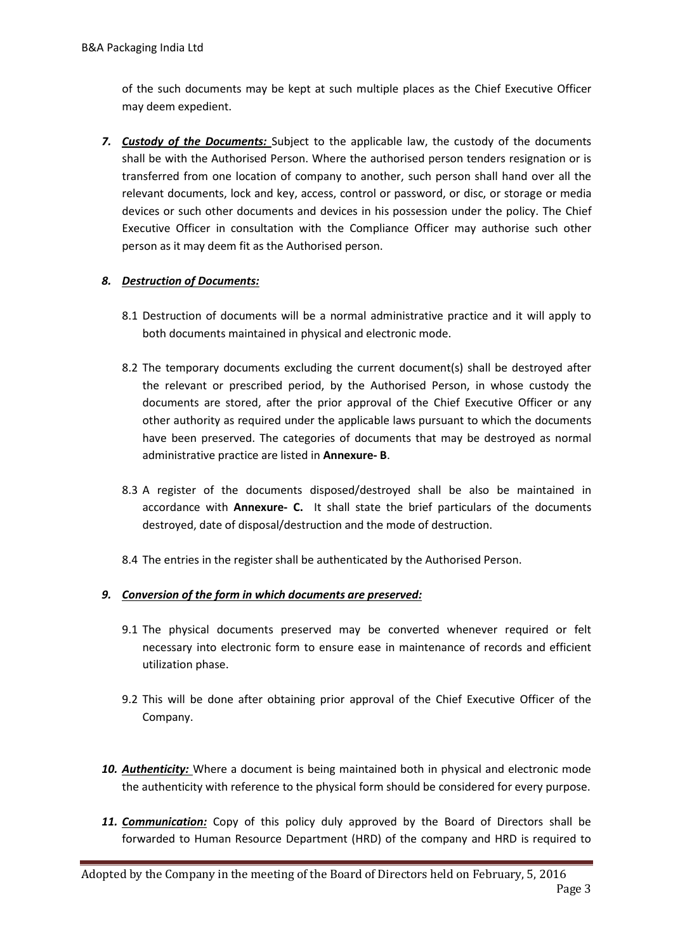of the such documents may be kept at such multiple places as the Chief Executive Officer may deem expedient.

*7. Custody of the Documents:* Subject to the applicable law, the custody of the documents shall be with the Authorised Person. Where the authorised person tenders resignation or is transferred from one location of company to another, such person shall hand over all the relevant documents, lock and key, access, control or password, or disc, or storage or media devices or such other documents and devices in his possession under the policy. The Chief Executive Officer in consultation with the Compliance Officer may authorise such other person as it may deem fit as the Authorised person.

# *8. Destruction of Documents:*

- 8.1 Destruction of documents will be a normal administrative practice and it will apply to both documents maintained in physical and electronic mode.
- 8.2 The temporary documents excluding the current document(s) shall be destroyed after the relevant or prescribed period, by the Authorised Person, in whose custody the documents are stored, after the prior approval of the Chief Executive Officer or any other authority as required under the applicable laws pursuant to which the documents have been preserved. The categories of documents that may be destroyed as normal administrative practice are listed in **Annexure- B**.
- 8.3 A register of the documents disposed/destroyed shall be also be maintained in accordance with **Annexure- C.** It shall state the brief particulars of the documents destroyed, date of disposal/destruction and the mode of destruction.
- 8.4 The entries in the register shall be authenticated by the Authorised Person.

# *9. Conversion of the form in which documents are preserved:*

- 9.1 The physical documents preserved may be converted whenever required or felt necessary into electronic form to ensure ease in maintenance of records and efficient utilization phase.
- 9.2 This will be done after obtaining prior approval of the Chief Executive Officer of the Company.
- *10. Authenticity:* Where a document is being maintained both in physical and electronic mode the authenticity with reference to the physical form should be considered for every purpose.
- *11. Communication:* Copy of this policy duly approved by the Board of Directors shall be forwarded to Human Resource Department (HRD) of the company and HRD is required to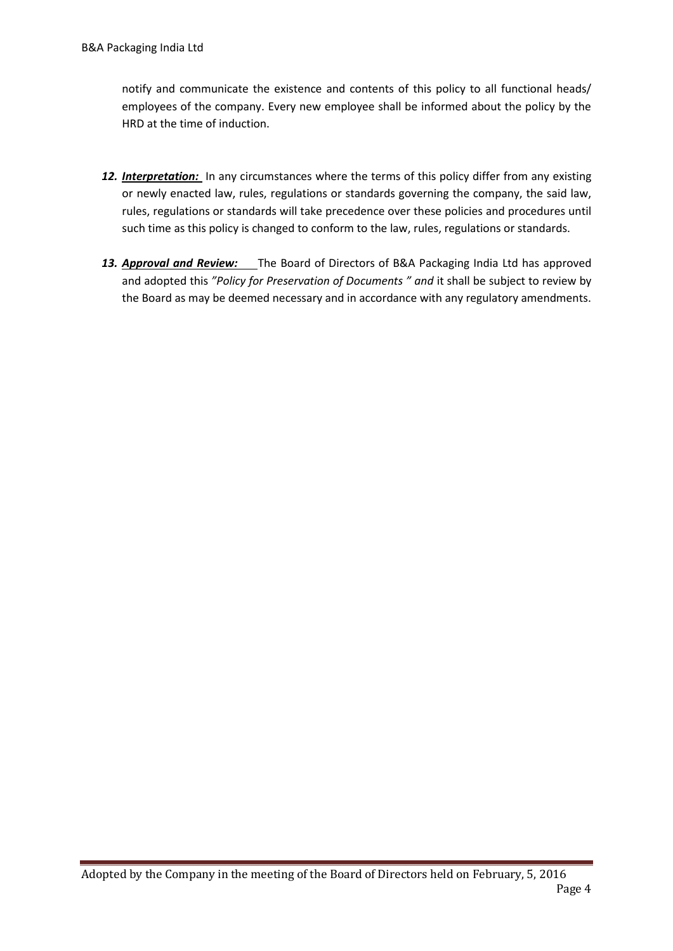notify and communicate the existence and contents of this policy to all functional heads/ employees of the company. Every new employee shall be informed about the policy by the HRD at the time of induction.

- *12. Interpretation:* In any circumstances where the terms of this policy differ from any existing or newly enacted law, rules, regulations or standards governing the company, the said law, rules, regulations or standards will take precedence over these policies and procedures until such time as this policy is changed to conform to the law, rules, regulations or standards.
- 13. **Approval and Review:** The Board of Directors of B&A Packaging India Ltd has approved and adopted this *"Policy for Preservation of Documents " and* it shall be subject to review by the Board as may be deemed necessary and in accordance with any regulatory amendments.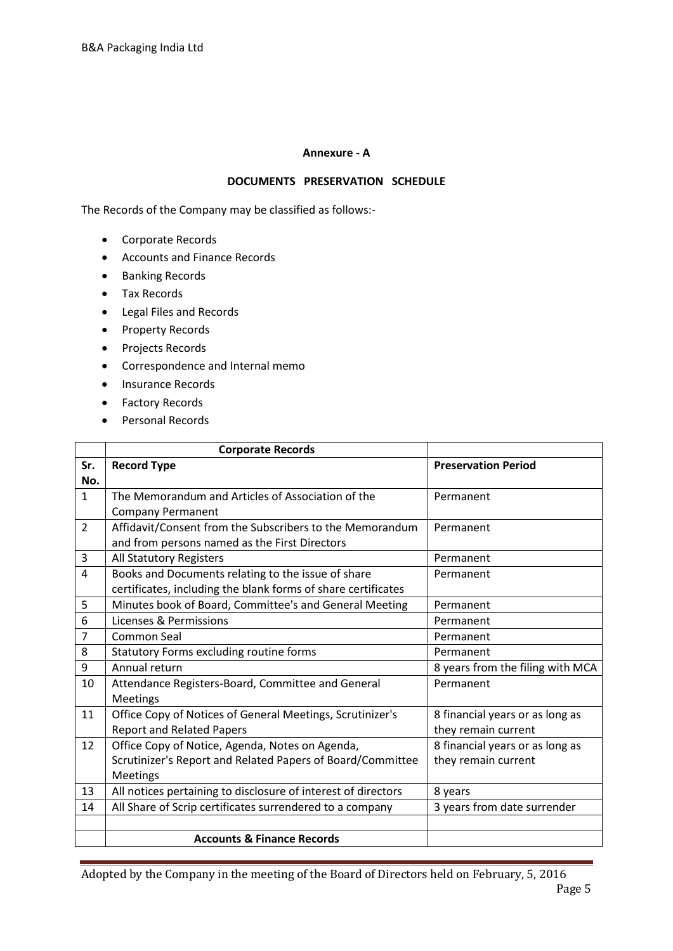### **Annexure - A**

## **DOCUMENTS PRESERVATION SCHEDULE**

The Records of the Company may be classified as follows:-

- Corporate Records
- Accounts and Finance Records
- **•** Banking Records
- Tax Records
- Legal Files and Records
- Property Records
- Projects Records
- Correspondence and Internal memo
- Insurance Records
- **•** Factory Records
- Personal Records

|                | <b>Corporate Records</b>                                      |                                  |
|----------------|---------------------------------------------------------------|----------------------------------|
| Sr.            | <b>Record Type</b>                                            | <b>Preservation Period</b>       |
| No.            |                                                               |                                  |
| $\mathbf{1}$   | The Memorandum and Articles of Association of the             | Permanent                        |
|                | <b>Company Permanent</b>                                      |                                  |
| 2              | Affidavit/Consent from the Subscribers to the Memorandum      | Permanent                        |
|                | and from persons named as the First Directors                 |                                  |
| 3              | All Statutory Registers                                       | Permanent                        |
| $\overline{4}$ | Books and Documents relating to the issue of share            | Permanent                        |
|                | certificates, including the blank forms of share certificates |                                  |
| 5              | Minutes book of Board, Committee's and General Meeting        | Permanent                        |
| 6              | Licenses & Permissions                                        | Permanent                        |
| $\overline{7}$ | Common Seal                                                   | Permanent                        |
| 8              | Statutory Forms excluding routine forms                       | Permanent                        |
| 9              | Annual return                                                 | 8 years from the filing with MCA |
| 10             | Attendance Registers-Board, Committee and General             | Permanent                        |
|                | <b>Meetings</b>                                               |                                  |
| 11             | Office Copy of Notices of General Meetings, Scrutinizer's     | 8 financial years or as long as  |
|                | <b>Report and Related Papers</b>                              | they remain current              |
| 12             | Office Copy of Notice, Agenda, Notes on Agenda,               | 8 financial years or as long as  |
|                | Scrutinizer's Report and Related Papers of Board/Committee    | they remain current              |
|                | Meetings                                                      |                                  |
| 13             | All notices pertaining to disclosure of interest of directors | 8 years                          |
| 14             | All Share of Scrip certificates surrendered to a company      | 3 years from date surrender      |
|                |                                                               |                                  |
|                | <b>Accounts &amp; Finance Records</b>                         |                                  |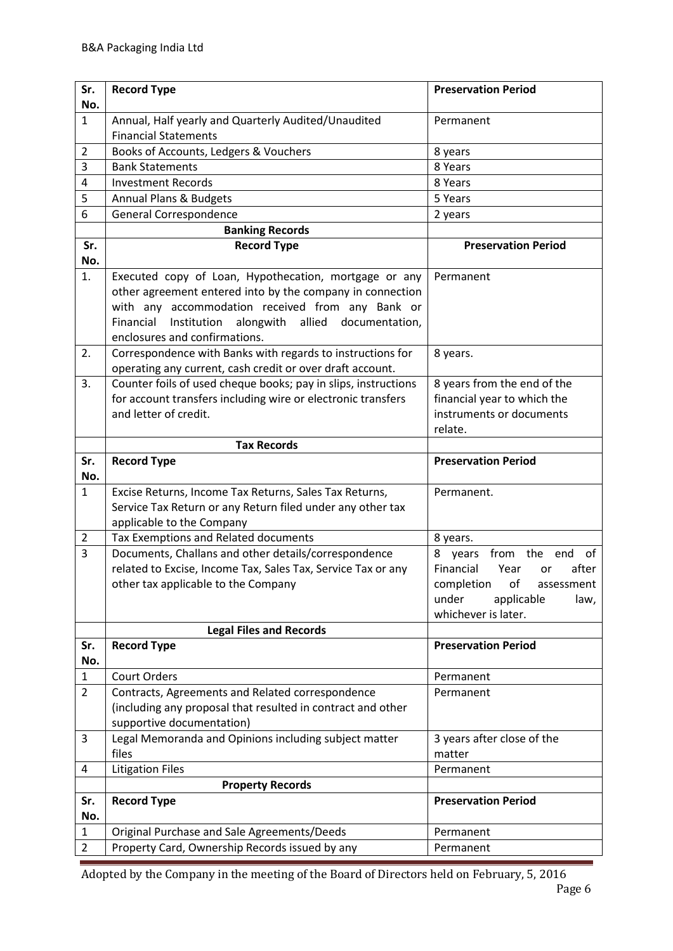| Sr.            | <b>Record Type</b>                                                                                                                                                                                                                                                           | <b>Preservation Period</b>                                                                          |
|----------------|------------------------------------------------------------------------------------------------------------------------------------------------------------------------------------------------------------------------------------------------------------------------------|-----------------------------------------------------------------------------------------------------|
| No.            |                                                                                                                                                                                                                                                                              |                                                                                                     |
| $\mathbf{1}$   | Annual, Half yearly and Quarterly Audited/Unaudited<br><b>Financial Statements</b>                                                                                                                                                                                           | Permanent                                                                                           |
| $\overline{2}$ | Books of Accounts, Ledgers & Vouchers                                                                                                                                                                                                                                        | 8 years                                                                                             |
| 3              | <b>Bank Statements</b>                                                                                                                                                                                                                                                       | 8 Years                                                                                             |
| 4              | <b>Investment Records</b>                                                                                                                                                                                                                                                    | 8 Years                                                                                             |
| 5              | Annual Plans & Budgets                                                                                                                                                                                                                                                       | 5 Years                                                                                             |
| 6              | <b>General Correspondence</b>                                                                                                                                                                                                                                                | 2 years                                                                                             |
|                | <b>Banking Records</b>                                                                                                                                                                                                                                                       |                                                                                                     |
| Sr.            | <b>Record Type</b>                                                                                                                                                                                                                                                           | <b>Preservation Period</b>                                                                          |
| No.            |                                                                                                                                                                                                                                                                              |                                                                                                     |
| 1.             | Executed copy of Loan, Hypothecation, mortgage or any<br>other agreement entered into by the company in connection<br>with any accommodation received from any Bank or<br>Financial<br>Institution<br>alongwith<br>allied<br>documentation,<br>enclosures and confirmations. | Permanent                                                                                           |
| 2.             | Correspondence with Banks with regards to instructions for<br>operating any current, cash credit or over draft account.                                                                                                                                                      | 8 years.                                                                                            |
| 3.             | Counter foils of used cheque books; pay in slips, instructions<br>for account transfers including wire or electronic transfers<br>and letter of credit.                                                                                                                      | 8 years from the end of the<br>financial year to which the<br>instruments or documents<br>relate.   |
|                | <b>Tax Records</b>                                                                                                                                                                                                                                                           |                                                                                                     |
| Sr.            | <b>Record Type</b>                                                                                                                                                                                                                                                           | <b>Preservation Period</b>                                                                          |
| No.            |                                                                                                                                                                                                                                                                              |                                                                                                     |
| $\mathbf{1}$   | Excise Returns, Income Tax Returns, Sales Tax Returns,                                                                                                                                                                                                                       | Permanent.                                                                                          |
|                | Service Tax Return or any Return filed under any other tax                                                                                                                                                                                                                   |                                                                                                     |
|                | applicable to the Company                                                                                                                                                                                                                                                    |                                                                                                     |
| $\overline{2}$ | Tax Exemptions and Related documents                                                                                                                                                                                                                                         | 8 years.                                                                                            |
| 3              | Documents, Challans and other details/correspondence<br>related to Excise, Income Tax, Sales Tax, Service Tax or any<br>other tax applicable to the Company                                                                                                                  | 8<br>from the<br>end<br>years<br>of<br>Financial<br>Year<br>after<br>or<br>completion of assessment |
|                |                                                                                                                                                                                                                                                                              | applicable<br>under<br>law,                                                                         |
|                |                                                                                                                                                                                                                                                                              | whichever is later.                                                                                 |
|                | <b>Legal Files and Records</b>                                                                                                                                                                                                                                               |                                                                                                     |
| Sr.<br>No.     | <b>Record Type</b>                                                                                                                                                                                                                                                           | <b>Preservation Period</b>                                                                          |
| $\mathbf{1}$   | <b>Court Orders</b>                                                                                                                                                                                                                                                          | Permanent                                                                                           |
| 2              | Contracts, Agreements and Related correspondence                                                                                                                                                                                                                             | Permanent                                                                                           |
|                | (including any proposal that resulted in contract and other                                                                                                                                                                                                                  |                                                                                                     |
|                | supportive documentation)                                                                                                                                                                                                                                                    |                                                                                                     |
| 3              | Legal Memoranda and Opinions including subject matter<br>files                                                                                                                                                                                                               | 3 years after close of the<br>matter                                                                |
| 4              | <b>Litigation Files</b>                                                                                                                                                                                                                                                      | Permanent                                                                                           |
|                | <b>Property Records</b>                                                                                                                                                                                                                                                      |                                                                                                     |
| Sr.<br>No.     | <b>Record Type</b>                                                                                                                                                                                                                                                           | <b>Preservation Period</b>                                                                          |
| $\mathbf{1}$   | Original Purchase and Sale Agreements/Deeds                                                                                                                                                                                                                                  | Permanent                                                                                           |
|                | Property Card, Ownership Records issued by any                                                                                                                                                                                                                               | Permanent                                                                                           |
| $\overline{2}$ |                                                                                                                                                                                                                                                                              |                                                                                                     |

Adopted by the Company in the meeting of the Board of Directors held on February, 5, 2016 Page 6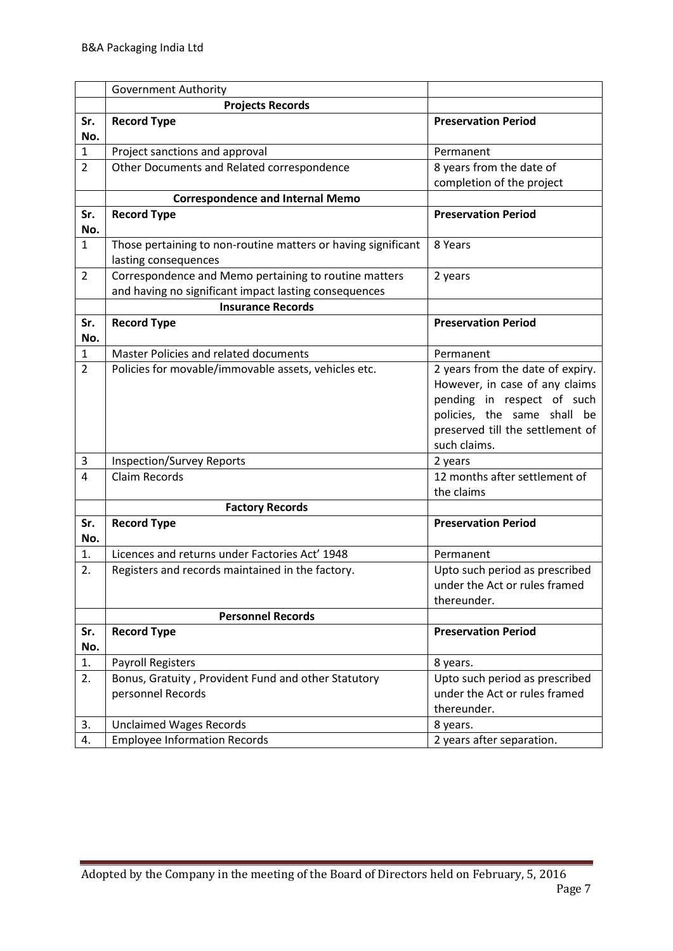|                | <b>Government Authority</b>                                                       |                                                                 |
|----------------|-----------------------------------------------------------------------------------|-----------------------------------------------------------------|
|                | <b>Projects Records</b>                                                           |                                                                 |
| Sr.            | <b>Record Type</b>                                                                | <b>Preservation Period</b>                                      |
| No.            |                                                                                   |                                                                 |
| 1              | Project sanctions and approval                                                    | Permanent                                                       |
| $\overline{2}$ | Other Documents and Related correspondence                                        | 8 years from the date of                                        |
|                |                                                                                   | completion of the project                                       |
|                | <b>Correspondence and Internal Memo</b>                                           |                                                                 |
| Sr.            | <b>Record Type</b>                                                                | <b>Preservation Period</b>                                      |
| No.            |                                                                                   |                                                                 |
| $\mathbf{1}$   | Those pertaining to non-routine matters or having significant                     | 8 Years                                                         |
| $\overline{2}$ | lasting consequences                                                              |                                                                 |
|                | Correspondence and Memo pertaining to routine matters                             | 2 years                                                         |
|                | and having no significant impact lasting consequences<br><b>Insurance Records</b> |                                                                 |
| Sr.            | <b>Record Type</b>                                                                | <b>Preservation Period</b>                                      |
| No.            |                                                                                   |                                                                 |
| 1              | Master Policies and related documents                                             | Permanent                                                       |
| $\overline{2}$ | Policies for movable/immovable assets, vehicles etc.                              | 2 years from the date of expiry.                                |
|                |                                                                                   | However, in case of any claims                                  |
|                |                                                                                   | pending in respect of such                                      |
|                |                                                                                   | policies, the same shall be                                     |
|                |                                                                                   | preserved till the settlement of                                |
|                |                                                                                   | such claims.                                                    |
| 3              | <b>Inspection/Survey Reports</b>                                                  | 2 years                                                         |
| $\overline{4}$ | <b>Claim Records</b>                                                              | 12 months after settlement of                                   |
|                |                                                                                   | the claims                                                      |
|                | <b>Factory Records</b>                                                            |                                                                 |
| Sr.            | <b>Record Type</b>                                                                | <b>Preservation Period</b>                                      |
| No.            |                                                                                   |                                                                 |
| 1.             | Licences and returns under Factories Act' 1948                                    | Permanent                                                       |
| 2.             | Registers and records maintained in the factory.                                  | Upto such period as prescribed                                  |
|                |                                                                                   | under the Act or rules framed                                   |
|                |                                                                                   | thereunder.                                                     |
|                | <b>Personnel Records</b>                                                          |                                                                 |
| Sr.            | <b>Record Type</b>                                                                | <b>Preservation Period</b>                                      |
| No.            |                                                                                   |                                                                 |
| 1.             | <b>Payroll Registers</b>                                                          | 8 years.                                                        |
| 2.             | Bonus, Gratuity, Provident Fund and other Statutory                               | Upto such period as prescribed<br>under the Act or rules framed |
|                | personnel Records                                                                 | thereunder.                                                     |
| 3.             | <b>Unclaimed Wages Records</b>                                                    |                                                                 |
| 4.             | <b>Employee Information Records</b>                                               | 8 years.<br>2 years after separation.                           |
|                |                                                                                   |                                                                 |